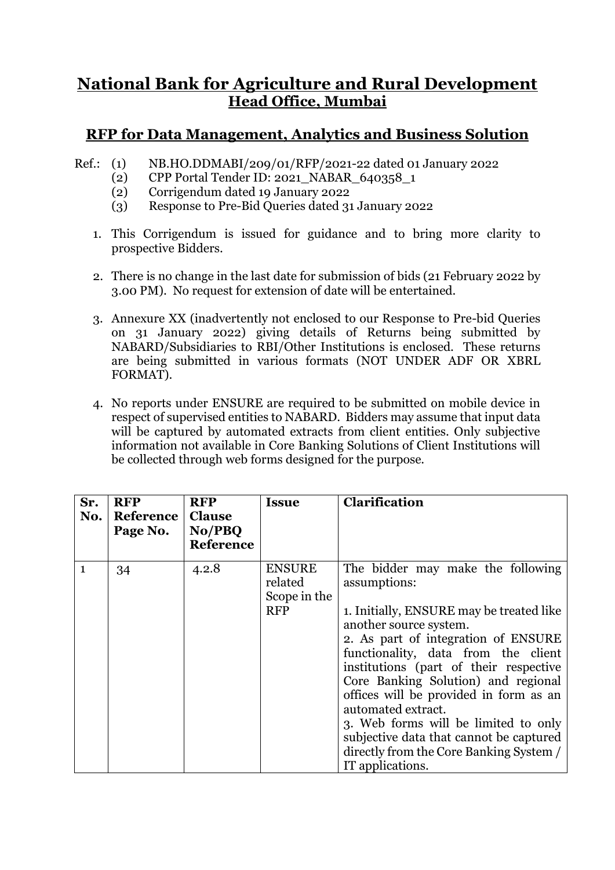## **National Bank for Agriculture and Rural Development Head Office, Mumbai**

## **RFP for Data Management, Analytics and Business Solution**

- Ref.: (1) NB.HO.DDMABI/209/01/RFP/2021-22 dated 01 January 2022
	- (2) CPP Portal Tender ID: 2021\_NABAR\_640358\_1
	- (2) Corrigendum dated 19 January 2022
	- (3) Response to Pre-Bid Queries dated 31 January 2022
	- 1. This Corrigendum is issued for guidance and to bring more clarity to prospective Bidders.
	- 2. There is no change in the last date for submission of bids (21 February 2022 by 3.00 PM). No request for extension of date will be entertained.
	- 3. Annexure XX (inadvertently not enclosed to our Response to Pre-bid Queries on 31 January 2022) giving details of Returns being submitted by NABARD/Subsidiaries to RBI/Other Institutions is enclosed. These returns are being submitted in various formats (NOT UNDER ADF OR XBRL FORMAT).
	- 4. No reports under ENSURE are required to be submitted on mobile device in respect of supervised entities to NABARD. Bidders may assume that input data will be captured by automated extracts from client entities. Only subjective information not available in Core Banking Solutions of Client Institutions will be collected through web forms designed for the purpose.

| Sr.<br>No.   | <b>RFP</b><br>Reference   Clause<br>Page No. | <b>RFP</b><br>No/PBQ<br><b>Reference</b> | <b>Issue</b>                                           | Clarification                                                                                                                                                                                                                                                                                                                                                                                                                                                                                            |
|--------------|----------------------------------------------|------------------------------------------|--------------------------------------------------------|----------------------------------------------------------------------------------------------------------------------------------------------------------------------------------------------------------------------------------------------------------------------------------------------------------------------------------------------------------------------------------------------------------------------------------------------------------------------------------------------------------|
| $\mathbf{1}$ | 34                                           | 4.2.8                                    | <b>ENSURE</b><br>related<br>Scope in the<br><b>RFP</b> | The bidder may make the following<br>assumptions:<br>1. Initially, ENSURE may be treated like<br>another source system.<br>2. As part of integration of ENSURE<br>functionality, data from the client<br>institutions (part of their respective<br>Core Banking Solution) and regional<br>offices will be provided in form as an<br>automated extract.<br>3. Web forms will be limited to only<br>subjective data that cannot be captured<br>directly from the Core Banking System /<br>IT applications. |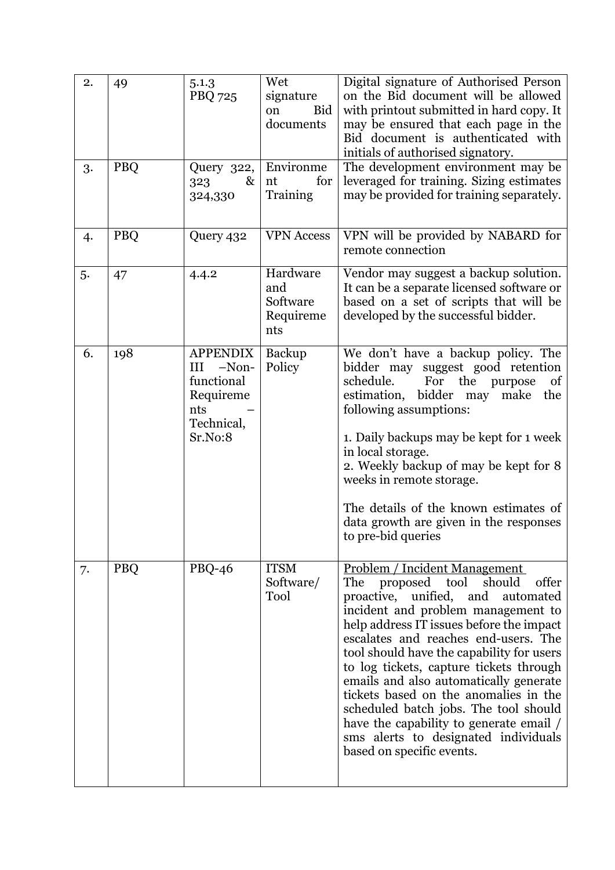| 2. | 49         | 5.1.3<br><b>PBQ 725</b>                                                                 | Wet<br>signature<br>Bid<br>on<br>documents      | Digital signature of Authorised Person<br>on the Bid document will be allowed<br>with printout submitted in hard copy. It<br>may be ensured that each page in the<br>Bid document is authenticated with<br>initials of authorised signatory.                                                                                                                                                                                                                                                                                                                                      |
|----|------------|-----------------------------------------------------------------------------------------|-------------------------------------------------|-----------------------------------------------------------------------------------------------------------------------------------------------------------------------------------------------------------------------------------------------------------------------------------------------------------------------------------------------------------------------------------------------------------------------------------------------------------------------------------------------------------------------------------------------------------------------------------|
| 3. | PBQ        | Query 322,<br>323<br>&<br>324,330                                                       | Environme<br>nt<br>for<br>Training              | The development environment may be<br>leveraged for training. Sizing estimates<br>may be provided for training separately.                                                                                                                                                                                                                                                                                                                                                                                                                                                        |
| 4. | <b>PBQ</b> | Query 432                                                                               | <b>VPN</b> Access                               | VPN will be provided by NABARD for<br>remote connection                                                                                                                                                                                                                                                                                                                                                                                                                                                                                                                           |
| 5. | 47         | 4.4.2                                                                                   | Hardware<br>and<br>Software<br>Requireme<br>nts | Vendor may suggest a backup solution.<br>It can be a separate licensed software or<br>based on a set of scripts that will be<br>developed by the successful bidder.                                                                                                                                                                                                                                                                                                                                                                                                               |
| 6. | 198        | <b>APPENDIX</b><br>III -Non-<br>functional<br>Requireme<br>nts<br>Technical,<br>Sr.No:8 | <b>Backup</b><br>Policy                         | We don't have a backup policy. The<br>bidder may suggest good retention<br>schedule.<br>For the purpose<br>of<br>estimation, bidder may<br>make the<br>following assumptions:<br>1. Daily backups may be kept for 1 week<br>in local storage.<br>2. Weekly backup of may be kept for 8<br>weeks in remote storage.<br>The details of the known estimates of<br>data growth are given in the responses<br>to pre-bid queries                                                                                                                                                       |
| 7. | <b>PBQ</b> | $PBQ-46$                                                                                | <b>ITSM</b><br>Software/<br>Tool                | Problem / Incident Management<br>proposed tool<br>should<br>offer<br>The<br>proactive, unified,<br>and<br>automated<br>incident and problem management to<br>help address IT issues before the impact<br>escalates and reaches end-users. The<br>tool should have the capability for users<br>to log tickets, capture tickets through<br>emails and also automatically generate<br>tickets based on the anomalies in the<br>scheduled batch jobs. The tool should<br>have the capability to generate email /<br>sms alerts to designated individuals<br>based on specific events. |